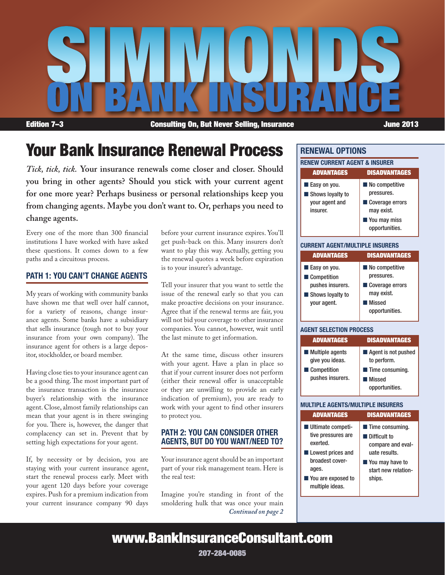

Edition 7–3 Consulting On, But Never Selling, Insurance **Supering Selling**, Insurance

# Your Bank Insurance Renewal Process

*Tick, tick, tick.* **Your insurance renewals come closer and closer. Should you bring in other agents? Should you stick with your current agent for one more year? Perhaps business or personal relationships keep you from changing agents. Maybe you don't want to. Or, perhaps you need to change agents.**

Every one of the more than 300 financial institutions I have worked with have asked these questions. It comes down to a few paths and a circuitous process.

### Path 1: You Can't Change Agents

My years of working with community banks have shown me that well over half cannot, for a variety of reasons, change insurance agents. Some banks have a subsidiary that sells insurance (tough not to buy your insurance from your own company). The insurance agent for others is a large depositor, stockholder, or board member.

Having close ties to your insurance agent can be a good thing. The most important part of the insurance transaction is the insurance buyer's relationship with the insurance agent. Close, almost family relationships can mean that your agent is in there swinging for you. There is, however, the danger that complacency can set in. Prevent that by setting high expectations for your agent.

If, by necessity or by decision, you are staying with your current insurance agent, start the renewal process early. Meet with your agent 120 days before your coverage expires. Push for a premium indication from your current insurance company 90 days before your current insurance expires. You'll get push-back on this. Many insurers don't want to play this way. Actually, getting you the renewal quotes a week before expiration is to your insurer's advantage.

Tell your insurer that you want to settle the issue of the renewal early so that you can make proactive decisions on your insurance. Agree that if the renewal terms are fair, you will not bid your coverage to other insurance companies. You cannot, however, wait until the last minute to get information.

At the same time, discuss other insurers with your agent. Have a plan in place so that if your current insurer does not perform (either their renewal offer is unacceptable or they are unwilling to provide an early indication of premium), you are ready to work with your agent to find other insurers to protect you.

### Path 2: You Can Consider Other Agents, But Do You Want/Need To?

Your insurance agent should be an important part of your risk management team. Here is the real test:

*Continued on page 2* Imagine you're standing in front of the smoldering hulk that was once your main

### Renewal Options

| <b>RENEW CURRENT AGENT &amp; INSURER</b>           |                                                 |
|----------------------------------------------------|-------------------------------------------------|
| <b>ADVANTAGES</b>                                  | <b>DISADVANTAGES</b>                            |
| Easy on you.<br>Shows loyalty to<br>your agent and | No competitive<br>pressures.<br>Coverage errors |
| insurer.                                           | may exist.<br>You may miss<br>opportunities.    |

#### Current Agent/Multiple Insurers

| <b>ADVANTAGES</b>                                                                  | <b>DISADVANTAGES</b>                                                                             |
|------------------------------------------------------------------------------------|--------------------------------------------------------------------------------------------------|
| Easy on you.<br>Competition<br>pushes insurers.<br>Shows loyalty to<br>your agent. | No competitive<br>pressures.<br>Coverage errors<br>may exist.<br><b>Missed</b><br>opportunities. |

#### Agent Selection Process

| <b>ADVANTAGES</b>                                                                    | <b>DISADVANTAGES</b>                                                                              |
|--------------------------------------------------------------------------------------|---------------------------------------------------------------------------------------------------|
| $\blacksquare$ Multiple agents<br>give you ideas.<br>Competition<br>pushes insurers. | Agent is not pushed<br>to perform.<br><b>Time consuming.</b><br><b>I Missed</b><br>opportunities. |

#### Multiple AgENts/Multiple Insurers

| <b>ADVANTAGES</b>                                                                                                                                 | <b>DISADVANTAGES</b>                                                                                                                         |
|---------------------------------------------------------------------------------------------------------------------------------------------------|----------------------------------------------------------------------------------------------------------------------------------------------|
| ■ Ultimate competi-<br>tive pressures are<br>exerted.<br>Lowest prices and<br>broadest cover-<br>ages.<br>■ You are exposed to<br>multiple ideas. | $\blacksquare$ Time consuming.<br>I Difficult to<br>compare and eval-<br>uate results.<br>■ You may have to<br>start new relation-<br>ships. |

www.BankInsuranceConsultant.com

207-284-0085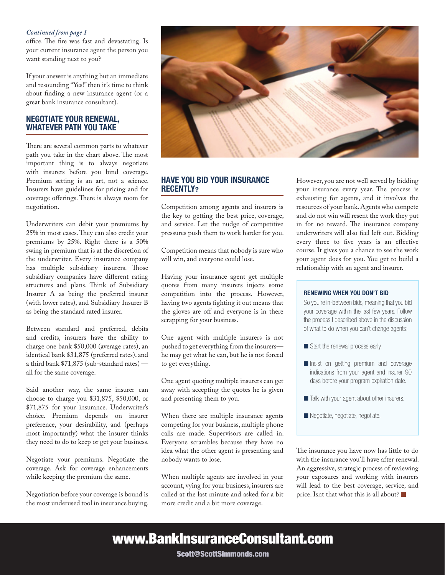#### *Continued from page 1*

office. The fire was fast and devastating. Is your current insurance agent the person you want standing next to you?

If your answer is anything but an immediate and resounding "Yes!" then it's time to think about finding a new insurance agent (or a great bank insurance consultant).

#### Negotiate Your Renewal, WHATEVER PATH YOU TAKE

There are several common parts to whatever path you take in the chart above. The most important thing is to always negotiate with insurers before you bind coverage. Premium setting is an art, not a science. Insurers have guidelines for pricing and for coverage offerings. There is always room for negotiation.

Underwriters can debit your premiums by 25% in most cases. They can also credit your premiums by 25%. Right there is a 50% swing in premium that is at the discretion of the underwriter. Every insurance company has multiple subsidiary insurers. Those subsidiary companies have different rating structures and plans. Think of Subsidiary Insurer A as being the preferred insurer (with lower rates), and Subsidiary Insurer B as being the standard rated insurer.

Between standard and preferred, debits and credits, insurers have the ability to charge one bank \$50,000 (average rates), an identical bank \$31,875 (preferred rates), and a third bank \$71,875 (sub-standard rates) all for the same coverage.

Said another way, the same insurer can choose to charge you \$31,875, \$50,000, or \$71,875 for your insurance. Underwriter's choice. Premium depends on insurer preference, your desirability, and (perhaps most importantly) what the insurer thinks they need to do to keep or get your business.

Negotiate your premiums. Negotiate the coverage. Ask for coverage enhancements while keeping the premium the same.

Negotiation before your coverage is bound is the most underused tool in insurance buying.



### Have You Bid Your Insurance Recently?

Competition among agents and insurers is the key to getting the best price, coverage, and service. Let the nudge of competitive pressures push them to work harder for you.

Competition means that nobody is sure who will win, and everyone could lose.

Having your insurance agent get multiple quotes from many insurers injects some competition into the process. However, having two agents fighting it out means that the gloves are off and everyone is in there scrapping for your business.

One agent with multiple insurers is not pushed to get everything from the insurers he may get what he can, but he is not forced to get everything.

One agent quoting multiple insurers can get away with accepting the quotes he is given and presenting them to you.

When there are multiple insurance agents competing for your business, multiple phone calls are made. Supervisors are called in. Everyone scrambles because they have no idea what the other agent is presenting and nobody wants to lose.

When multiple agents are involved in your account, vying for your business, insurers are called at the last minute and asked for a bit more credit and a bit more coverage.

However, you are not well served by bidding your insurance every year. The process is exhausting for agents, and it involves the resources of your bank. Agents who compete and do not win will resent the work they put in for no reward. The insurance company underwriters will also feel left out. Bidding every three to five years is an effective course. It gives you a chance to see the work your agent does for you. You get to build a relationship with an agent and insurer.

#### Renewing When You Don't Bid

So you're in-between bids, meaning that you bid your coverage within the last few years. Follow the process I described above in the discussion of what to do when you can't change agents:

- $\blacksquare$  Start the renewal process early.
- **n** Insist on getting premium and coverage indications from your agent and insurer 90 days before your program expiration date.
- Talk with your agent about other insurers.
- Negotiate, negotiate, negotiate.

The insurance you have now has little to do with the insurance you'll have after renewal. An aggressive, strategic process of reviewing your exposures and working with insurers will lead to the best coverage, service, and price. Isnt that what this is all about?

## www.BankInsuranceConsultant.com

Scott@ScottSimmonds.com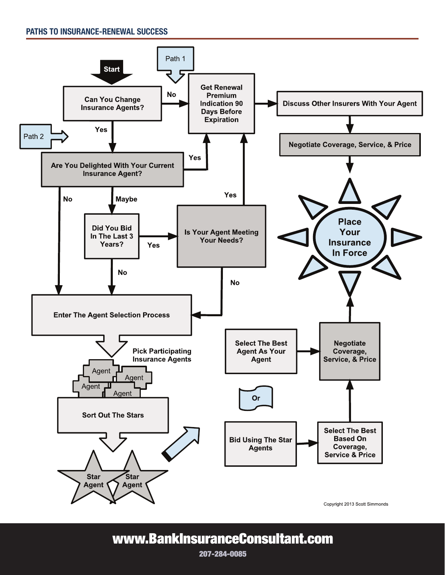

## www.BankInsuranceConsultant.com

207-284-0085